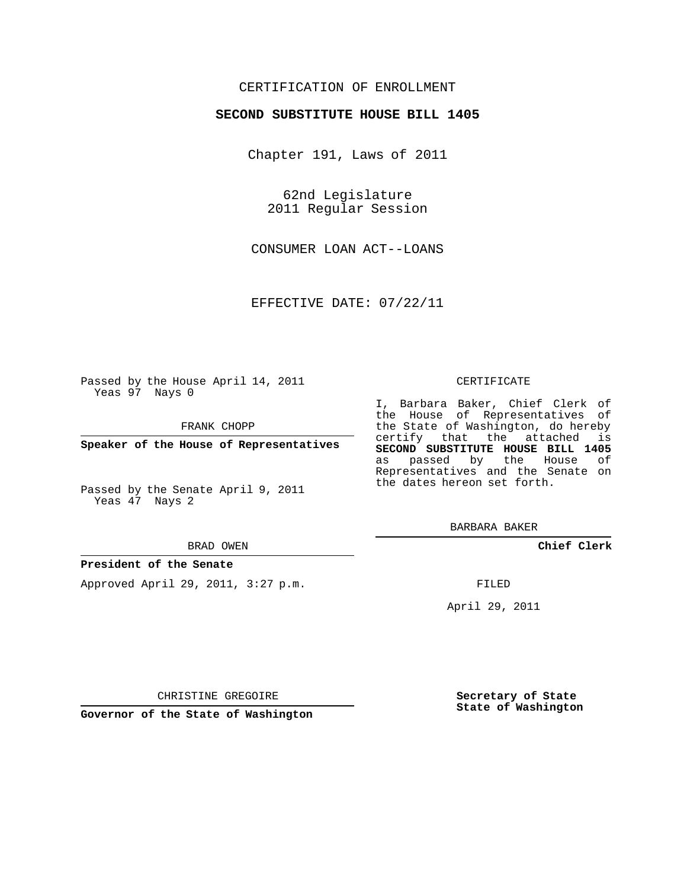# CERTIFICATION OF ENROLLMENT

### **SECOND SUBSTITUTE HOUSE BILL 1405**

Chapter 191, Laws of 2011

62nd Legislature 2011 Regular Session

CONSUMER LOAN ACT--LOANS

EFFECTIVE DATE: 07/22/11

Passed by the House April 14, 2011 Yeas 97 Nays 0

FRANK CHOPP

**Speaker of the House of Representatives**

Passed by the Senate April 9, 2011 Yeas 47 Nays 2

#### BRAD OWEN

#### **President of the Senate**

Approved April 29, 2011, 3:27 p.m.

#### CERTIFICATE

I, Barbara Baker, Chief Clerk of the House of Representatives of the State of Washington, do hereby certify that the attached is **SECOND SUBSTITUTE HOUSE BILL 1405** as passed by the House of Representatives and the Senate on the dates hereon set forth.

BARBARA BAKER

**Chief Clerk**

FILED

April 29, 2011

**Secretary of State State of Washington**

CHRISTINE GREGOIRE

**Governor of the State of Washington**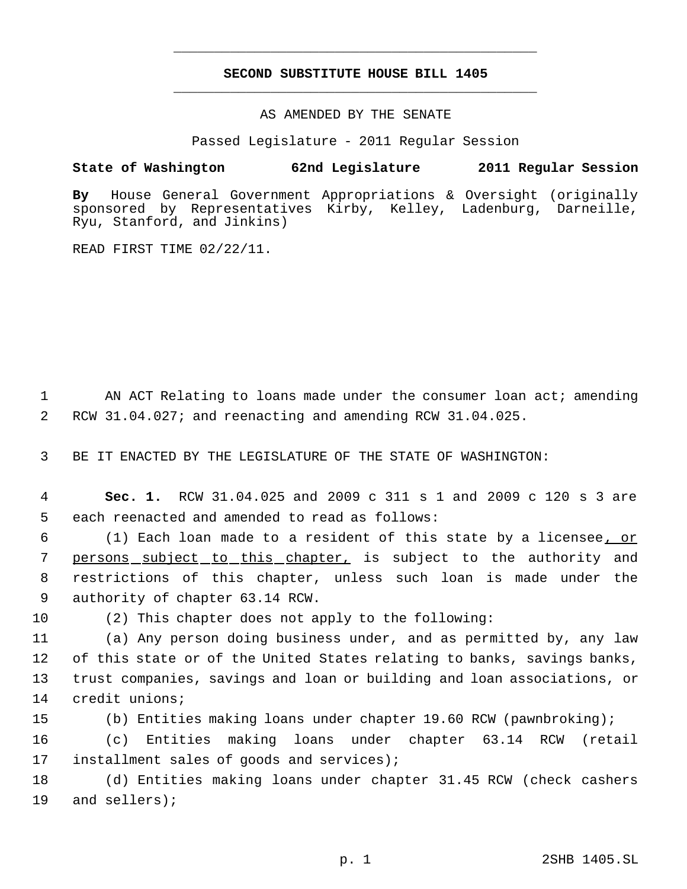# **SECOND SUBSTITUTE HOUSE BILL 1405** \_\_\_\_\_\_\_\_\_\_\_\_\_\_\_\_\_\_\_\_\_\_\_\_\_\_\_\_\_\_\_\_\_\_\_\_\_\_\_\_\_\_\_\_\_

\_\_\_\_\_\_\_\_\_\_\_\_\_\_\_\_\_\_\_\_\_\_\_\_\_\_\_\_\_\_\_\_\_\_\_\_\_\_\_\_\_\_\_\_\_

AS AMENDED BY THE SENATE

Passed Legislature - 2011 Regular Session

# **State of Washington 62nd Legislature 2011 Regular Session**

**By** House General Government Appropriations & Oversight (originally sponsored by Representatives Kirby, Kelley, Ladenburg, Darneille, Ryu, Stanford, and Jinkins)

READ FIRST TIME 02/22/11.

1 AN ACT Relating to loans made under the consumer loan act; amending 2 RCW 31.04.027; and reenacting and amending RCW 31.04.025.

3 BE IT ENACTED BY THE LEGISLATURE OF THE STATE OF WASHINGTON:

 4 **Sec. 1.** RCW 31.04.025 and 2009 c 311 s 1 and 2009 c 120 s 3 are 5 each reenacted and amended to read as follows:

 (1) Each loan made to a resident of this state by a licensee, or 7 <u>persons subject to this chapter,</u> is subject to the authority and restrictions of this chapter, unless such loan is made under the authority of chapter 63.14 RCW.

10 (2) This chapter does not apply to the following:

 (a) Any person doing business under, and as permitted by, any law of this state or of the United States relating to banks, savings banks, trust companies, savings and loan or building and loan associations, or credit unions;

15 (b) Entities making loans under chapter 19.60 RCW (pawnbroking);

16 (c) Entities making loans under chapter 63.14 RCW (retail 17 installment sales of goods and services);

18 (d) Entities making loans under chapter 31.45 RCW (check cashers 19 and sellers);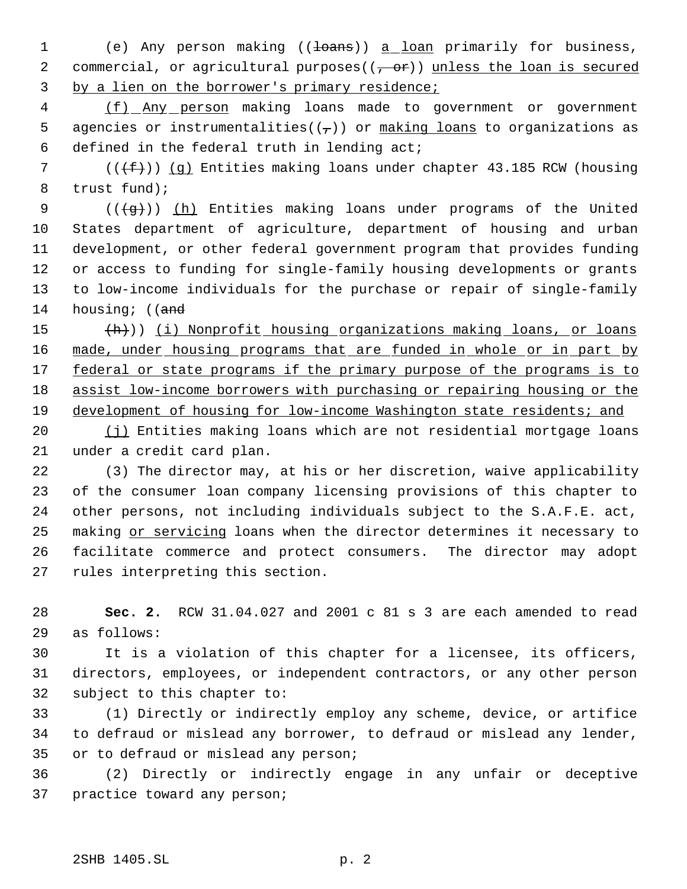1 (e) Any person making ((<del>loans</del>)) a loan primarily for business, 2 commercial, or agricultural purposes( $(-e^+e^+$ )) unless the loan is secured by a lien on the borrower's primary residence;

 (f) Any person making loans made to government or government 5 agencies or instrumentalities( $(\tau)$ ) or making loans to organizations as defined in the federal truth in lending act;

7 ( $(\{\text{f}\})$ ) (q) Entities making loans under chapter 43.185 RCW (housing trust fund);

9 ( $(\frac{1}{9})$ ) (h) Entities making loans under programs of the United States department of agriculture, department of housing and urban development, or other federal government program that provides funding or access to funding for single-family housing developments or grants to low-income individuals for the purchase or repair of single-family 14 housing; ((and

15 (h)) (i) Nonprofit housing organizations making loans, or loans 16 made, under housing programs that are funded in whole or in part by 17 federal or state programs if the primary purpose of the programs is to assist low-income borrowers with purchasing or repairing housing or the development of housing for low-income Washington state residents; and

20 (j) Entities making loans which are not residential mortgage loans under a credit card plan.

 (3) The director may, at his or her discretion, waive applicability of the consumer loan company licensing provisions of this chapter to other persons, not including individuals subject to the S.A.F.E. act, 25 making or servicing loans when the director determines it necessary to facilitate commerce and protect consumers. The director may adopt rules interpreting this section.

 **Sec. 2.** RCW 31.04.027 and 2001 c 81 s 3 are each amended to read as follows:

 It is a violation of this chapter for a licensee, its officers, directors, employees, or independent contractors, or any other person subject to this chapter to:

 (1) Directly or indirectly employ any scheme, device, or artifice to defraud or mislead any borrower, to defraud or mislead any lender, or to defraud or mislead any person;

 (2) Directly or indirectly engage in any unfair or deceptive practice toward any person;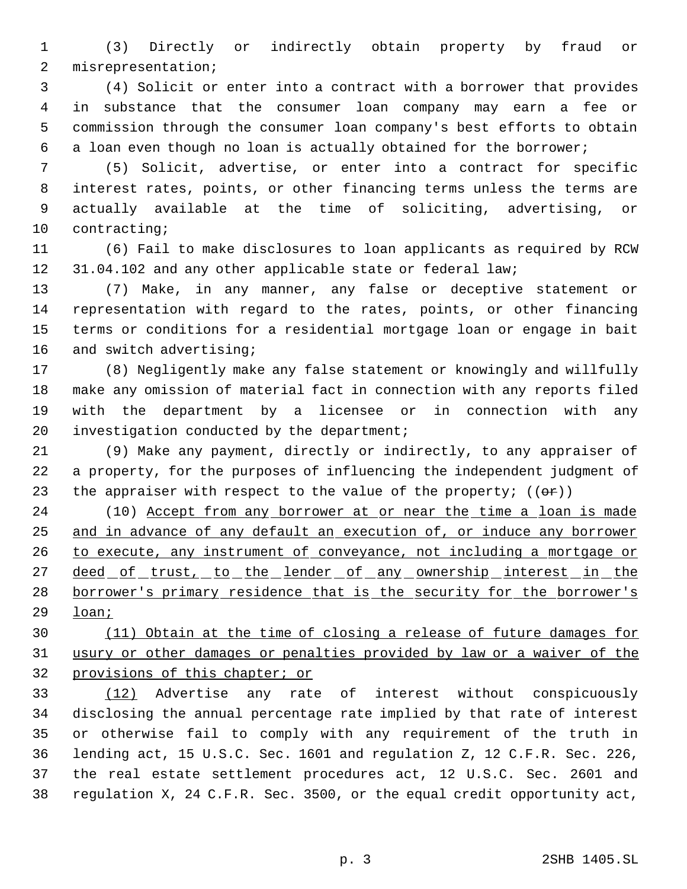(3) Directly or indirectly obtain property by fraud or misrepresentation;

 (4) Solicit or enter into a contract with a borrower that provides in substance that the consumer loan company may earn a fee or commission through the consumer loan company's best efforts to obtain a loan even though no loan is actually obtained for the borrower;

 (5) Solicit, advertise, or enter into a contract for specific interest rates, points, or other financing terms unless the terms are actually available at the time of soliciting, advertising, or contracting;

 (6) Fail to make disclosures to loan applicants as required by RCW 31.04.102 and any other applicable state or federal law;

 (7) Make, in any manner, any false or deceptive statement or representation with regard to the rates, points, or other financing terms or conditions for a residential mortgage loan or engage in bait and switch advertising;

 (8) Negligently make any false statement or knowingly and willfully make any omission of material fact in connection with any reports filed with the department by a licensee or in connection with any investigation conducted by the department;

 (9) Make any payment, directly or indirectly, to any appraiser of a property, for the purposes of influencing the independent judgment of 23 the appraiser with respect to the value of the property;  $((\theta \cdot \mathbf{r}))$ 

24 (10) Accept from any borrower at or near the time a loan is made and in advance of any default an execution of, or induce any borrower 26 to execute, any instrument of conveyance, not including a mortgage or 27 deed of trust, to the lender of any ownership interest in the borrower's primary residence that is the security for the borrower's loan;

 (11) Obtain at the time of closing a release of future damages for usury or other damages or penalties provided by law or a waiver of the provisions of this chapter; or

 (12) Advertise any rate of interest without conspicuously disclosing the annual percentage rate implied by that rate of interest or otherwise fail to comply with any requirement of the truth in lending act, 15 U.S.C. Sec. 1601 and regulation Z, 12 C.F.R. Sec. 226, the real estate settlement procedures act, 12 U.S.C. Sec. 2601 and regulation X, 24 C.F.R. Sec. 3500, or the equal credit opportunity act,